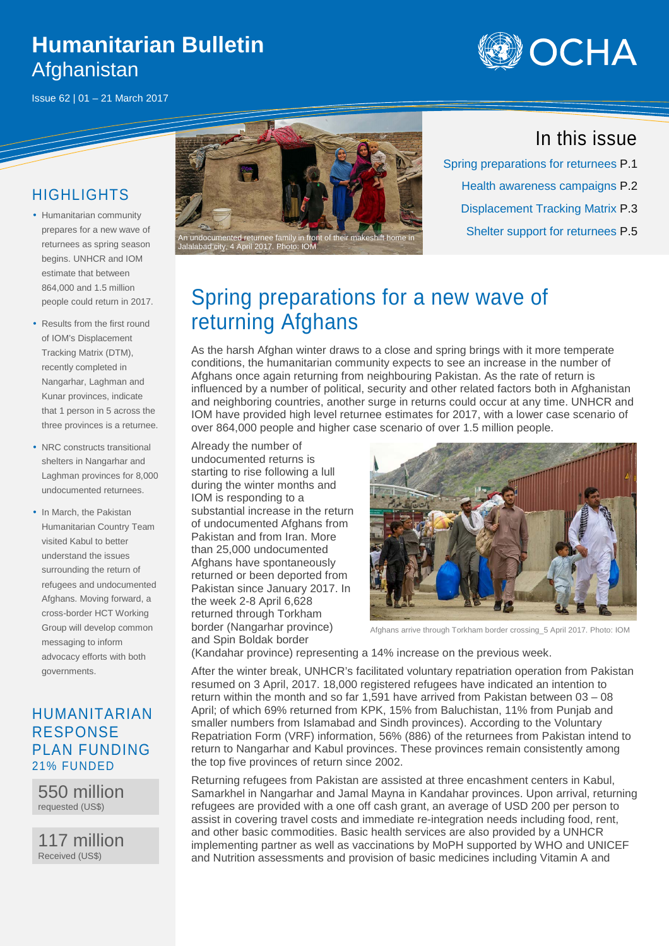## **Humanitarian Bulletin**  Afghanistan

Issue 62 | 01 – 21 March 2017



#### HIGHLIGHTS

- Humanitarian community prepares for a new wave of returnees as spring season begins. UNHCR and IOM estimate that between 864,000 and 1.5 million people could return in 2017.
- Results from the first round of IOM's Displacement Tracking Matrix (DTM), recently completed in Nangarhar, Laghman and Kunar provinces, indicate that 1 person in 5 across the three provinces is a returnee.
- NRC constructs transitional shelters in Nangarhar and Laghman provinces for 8,000 undocumented returnees.
- In March, the Pakistan Humanitarian Country Team visited Kabul to better understand the issues surrounding the return of refugees and undocumented Afghans. Moving forward, a cross-border HCT Working Group will develop common messaging to inform advocacy efforts with both governments.

#### HUMANITARIAN RESPONSE PLAN FUNDING 21% FUNDED

550 million requested (US\$)

117 million Received (US\$)



#### In this issue

Spring preparations for returnees P.1 Health awareness campaigns P.2 Displacement Tracking Matrix P.3

# Spring preparations for a new wave of returning Afghans

As the harsh Afghan winter draws to a close and spring brings with it more temperate conditions, the humanitarian community expects to see an increase in the number of Afghans once again returning from neighbouring Pakistan. As the rate of return is influenced by a number of political, security and other related factors both in Afghanistan and neighboring countries, another surge in returns could occur at any time. UNHCR and IOM have provided high level returnee estimates for 2017, with a lower case scenario of over 864,000 people and higher case scenario of over 1.5 million people.

Already the number of undocumented returns is starting to rise following a lull during the winter months and IOM is responding to a substantial increase in the return of undocumented Afghans from Pakistan and from Iran. More than 25,000 undocumented Afghans have spontaneously returned or been deported from Pakistan since January 2017. In the week 2-8 April 6,628 returned through Torkham border (Nangarhar province) and Spin Boldak border



Afghans arrive through Torkham border crossing\_5 April 2017. Photo: IOM

(Kandahar province) representing a 14% increase on the previous week.

After the winter break, UNHCR's facilitated voluntary repatriation operation from Pakistan resumed on 3 April, 2017. 18,000 registered refugees have indicated an intention to return within the month and so far 1,591 have arrived from Pakistan between 03 – 08 April; of which 69% returned from KPK, 15% from Baluchistan, 11% from Punjab and smaller numbers from Islamabad and Sindh provinces). According to the Voluntary Repatriation Form (VRF) information, 56% (886) of the returnees from Pakistan intend to return to Nangarhar and Kabul provinces. These provinces remain consistently among the top five provinces of return since 2002.

Returning refugees from Pakistan are assisted at three encashment centers in Kabul, Samarkhel in Nangarhar and Jamal Mayna in Kandahar provinces. Upon arrival, returning refugees are provided with a one off cash grant, an average of USD 200 per person to assist in covering travel costs and immediate re-integration needs including food, rent, and other basic commodities. Basic health services are also provided by a UNHCR implementing partner as well as vaccinations by MoPH supported by WHO and UNICEF and Nutrition assessments and provision of basic medicines including Vitamin A and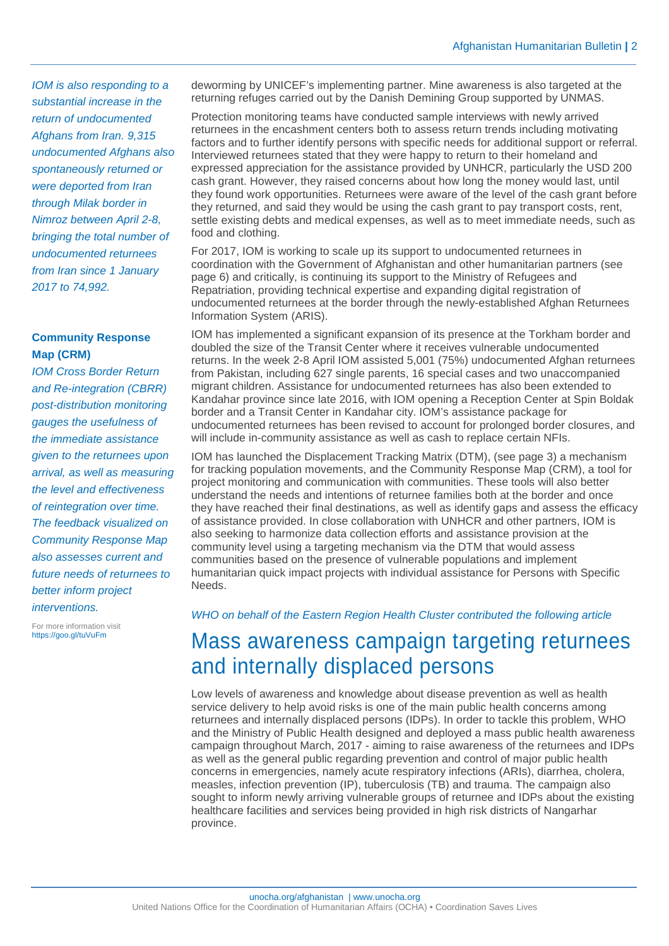IOM is also responding to a substantial increase in the return of undocumented Afghans from Iran. 9,315 undocumented Afghans also spontaneously returned or were deported from Iran through Milak border in Nimroz between April 2-8, bringing the total number of undocumented returnees from Iran since 1 January 2017 to 74,992.

#### **Community Response Map (CRM)**

IOM Cross Border Return and Re-integration (CBRR) post-distribution monitoring gauges the usefulness of the immediate assistance given to the returnees upon arrival, as well as measuring the level and effectiveness of reintegration over time. The feedback visualized on Community Response Map also assesses current and future needs of returnees to better inform project interventions.

For more information visit https://goo.gl/tuVuFm

deworming by UNICEF's implementing partner. Mine awareness is also targeted at the returning refuges carried out by the Danish Demining Group supported by UNMAS.

Protection monitoring teams have conducted sample interviews with newly arrived returnees in the encashment centers both to assess return trends including motivating factors and to further identify persons with specific needs for additional support or referral. Interviewed returnees stated that they were happy to return to their homeland and expressed appreciation for the assistance provided by UNHCR, particularly the USD 200 cash grant. However, they raised concerns about how long the money would last, until they found work opportunities. Returnees were aware of the level of the cash grant before they returned, and said they would be using the cash grant to pay transport costs, rent, settle existing debts and medical expenses, as well as to meet immediate needs, such as food and clothing.

For 2017, IOM is working to scale up its support to undocumented returnees in coordination with the Government of Afghanistan and other humanitarian partners (see page 6) and critically, is continuing its support to the Ministry of Refugees and Repatriation, providing technical expertise and expanding digital registration of undocumented returnees at the border through the newly-established Afghan Returnees Information System (ARIS).

IOM has implemented a significant expansion of its presence at the Torkham border and doubled the size of the Transit Center where it receives vulnerable undocumented returns. In the week 2-8 April IOM assisted 5,001 (75%) undocumented Afghan returnees from Pakistan, including 627 single parents, 16 special cases and two unaccompanied migrant children. Assistance for undocumented returnees has also been extended to Kandahar province since late 2016, with IOM opening a Reception Center at Spin Boldak border and a Transit Center in Kandahar city. IOM's assistance package for undocumented returnees has been revised to account for prolonged border closures, and will include in-community assistance as well as cash to replace certain NFIs.

IOM has launched the Displacement Tracking Matrix (DTM), (see page 3) a mechanism for tracking population movements, and the Community Response Map (CRM), a tool for project monitoring and communication with communities. These tools will also better understand the needs and intentions of returnee families both at the border and once they have reached their final destinations, as well as identify gaps and assess the efficacy of assistance provided. In close collaboration with UNHCR and other partners, IOM is also seeking to harmonize data collection efforts and assistance provision at the community level using a targeting mechanism via the DTM that would assess communities based on the presence of vulnerable populations and implement humanitarian quick impact projects with individual assistance for Persons with Specific Needs.

WHO on behalf of the Eastern Region Health Cluster contributed the following article

### Mass awareness campaign targeting returnees and internally displaced persons

Low levels of awareness and knowledge about disease prevention as well as health service delivery to help avoid risks is one of the main public health concerns among returnees and internally displaced persons (IDPs). In order to tackle this problem, WHO and the Ministry of Public Health designed and deployed a mass public health awareness campaign throughout March, 2017 - aiming to raise awareness of the returnees and IDPs as well as the general public regarding prevention and control of major public health concerns in emergencies, namely acute respiratory infections (ARIs), diarrhea, cholera, measles, infection prevention (IP), tuberculosis (TB) and trauma. The campaign also sought to inform newly arriving vulnerable groups of returnee and IDPs about the existing healthcare facilities and services being provided in high risk districts of Nangarhar province.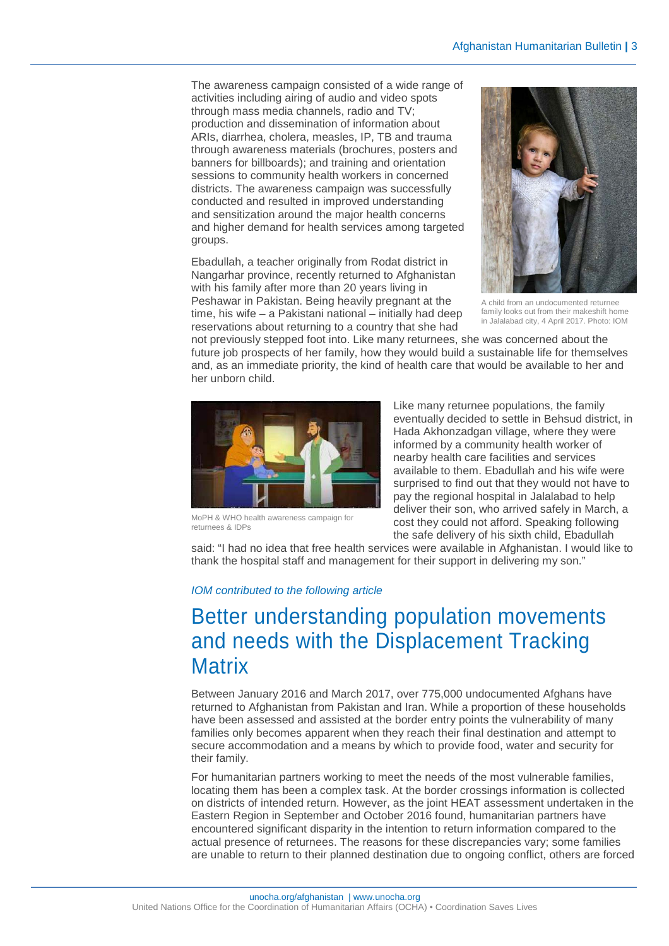The awareness campaign consisted of a wide range of activities including airing of audio and video spots through mass media channels, radio and TV; production and dissemination of information about ARIs, diarrhea, cholera, measles, IP, TB and trauma through awareness materials (brochures, posters and banners for billboards); and training and orientation sessions to community health workers in concerned districts. The awareness campaign was successfully conducted and resulted in improved understanding and sensitization around the major health concerns and higher demand for health services among targeted groups.

Ebadullah, a teacher originally from Rodat district in Nangarhar province, recently returned to Afghanistan with his family after more than 20 years living in Peshawar in Pakistan. Being heavily pregnant at the time, his wife – a Pakistani national – initially had deep reservations about returning to a country that she had



A child from an undocumented returnee family looks out from their makeshift home in Jalalabad city, 4 April 2017. Photo: IOM

not previously stepped foot into. Like many returnees, she was concerned about the future job prospects of her family, how they would build a sustainable life for themselves and, as an immediate priority, the kind of health care that would be available to her and her unborn child.



MoPH & WHO health awareness campaign for returnees & IDPs

Like many returnee populations, the family eventually decided to settle in Behsud district, in Hada Akhonzadgan village, where they were informed by a community health worker of nearby health care facilities and services available to them. Ebadullah and his wife were surprised to find out that they would not have to pay the regional hospital in Jalalabad to help deliver their son, who arrived safely in March, a cost they could not afford. Speaking following the safe delivery of his sixth child, Ebadullah

said: "I had no idea that free health services were available in Afghanistan. I would like to thank the hospital staff and management for their support in delivering my son."

#### IOM contributed to the following article

## Better understanding population movements and needs with the Displacement Tracking **Matrix**

Between January 2016 and March 2017, over 775,000 undocumented Afghans have returned to Afghanistan from Pakistan and Iran. While a proportion of these households have been assessed and assisted at the border entry points the vulnerability of many families only becomes apparent when they reach their final destination and attempt to secure accommodation and a means by which to provide food, water and security for their family.

For humanitarian partners working to meet the needs of the most vulnerable families, locating them has been a complex task. At the border crossings information is collected on districts of intended return. However, as the joint HEAT assessment undertaken in the Eastern Region in September and October 2016 found, humanitarian partners have encountered significant disparity in the intention to return information compared to the actual presence of returnees. The reasons for these discrepancies vary; some families are unable to return to their planned destination due to ongoing conflict, others are forced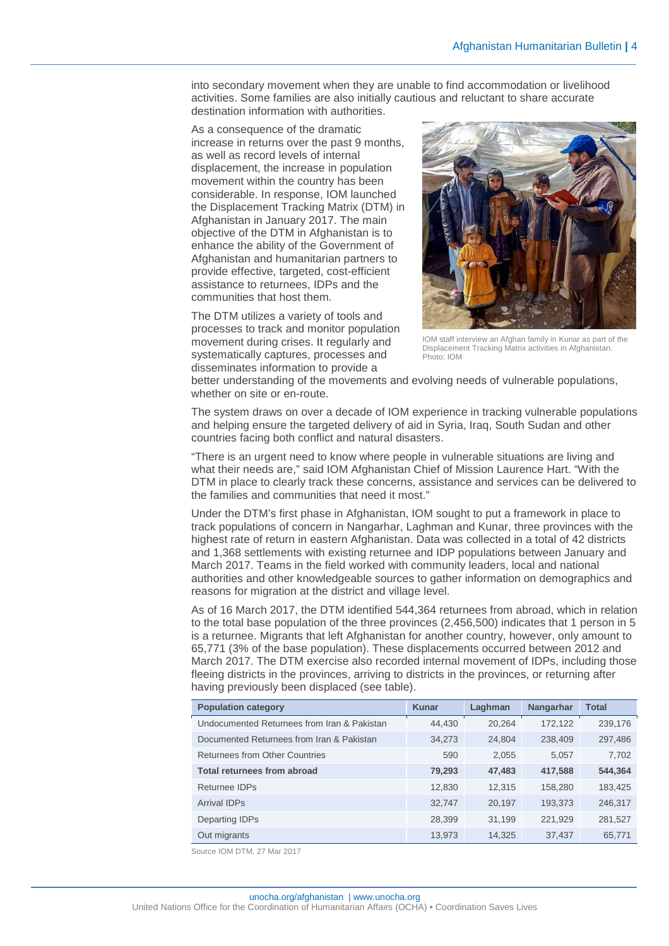into secondary movement when they are unable to find accommodation or livelihood activities. Some families are also initially cautious and reluctant to share accurate destination information with authorities.

As a consequence of the dramatic increase in returns over the past 9 months, as well as record levels of internal displacement, the increase in population movement within the country has been considerable. In response, IOM launched the Displacement Tracking Matrix (DTM) in Afghanistan in January 2017. The main objective of the DTM in Afghanistan is to enhance the ability of the Government of Afghanistan and humanitarian partners to provide effective, targeted, cost-efficient assistance to returnees, IDPs and the communities that host them.

The DTM utilizes a variety of tools and processes to track and monitor population movement during crises. It regularly and systematically captures, processes and disseminates information to provide a



IOM staff interview an Afghan family in Kunar as part of the Displacement Tracking Matrix activities in Afghanistan. Photo: IOM

better understanding of the movements and evolving needs of vulnerable populations, whether on site or en-route.

The system draws on over a decade of IOM experience in tracking vulnerable populations and helping ensure the targeted delivery of aid in Syria, Iraq, South Sudan and other countries facing both conflict and natural disasters.

"There is an urgent need to know where people in vulnerable situations are living and what their needs are," said IOM Afghanistan Chief of Mission Laurence Hart. "With the DTM in place to clearly track these concerns, assistance and services can be delivered to the families and communities that need it most."

Under the DTM's first phase in Afghanistan, IOM sought to put a framework in place to track populations of concern in Nangarhar, Laghman and Kunar, three provinces with the highest rate of return in eastern Afghanistan. Data was collected in a total of 42 districts and 1,368 settlements with existing returnee and IDP populations between January and March 2017. Teams in the field worked with community leaders, local and national authorities and other knowledgeable sources to gather information on demographics and reasons for migration at the district and village level.

As of 16 March 2017, the DTM identified 544,364 returnees from abroad, which in relation to the total base population of the three provinces (2,456,500) indicates that 1 person in 5 is a returnee. Migrants that left Afghanistan for another country, however, only amount to 65,771 (3% of the base population). These displacements occurred between 2012 and March 2017. The DTM exercise also recorded internal movement of IDPs, including those fleeing districts in the provinces, arriving to districts in the provinces, or returning after having previously been displaced (see table).

| <b>Population category</b>                  | <b>Kunar</b> | Laghman | Nangarhar | <b>Total</b> |
|---------------------------------------------|--------------|---------|-----------|--------------|
| Undocumented Returnees from Iran & Pakistan | 44.430       | 20,264  | 172,122   | 239,176      |
| Documented Returnees from Iran & Pakistan   | 34,273       | 24,804  | 238,409   | 297,486      |
| Returnees from Other Countries              | 590          | 2,055   | 5,057     | 7,702        |
| <b>Total returnees from abroad</b>          | 79,293       | 47,483  | 417,588   | 544,364      |
| Returnee IDPs                               | 12,830       | 12,315  | 158,280   | 183,425      |
| <b>Arrival IDPs</b>                         | 32,747       | 20,197  | 193,373   | 246,317      |
| Departing IDPs                              | 28,399       | 31,199  | 221,929   | 281,527      |
| Out migrants                                | 13,973       | 14,325  | 37,437    | 65,771       |

Source IOM DTM, 27 Mar 2017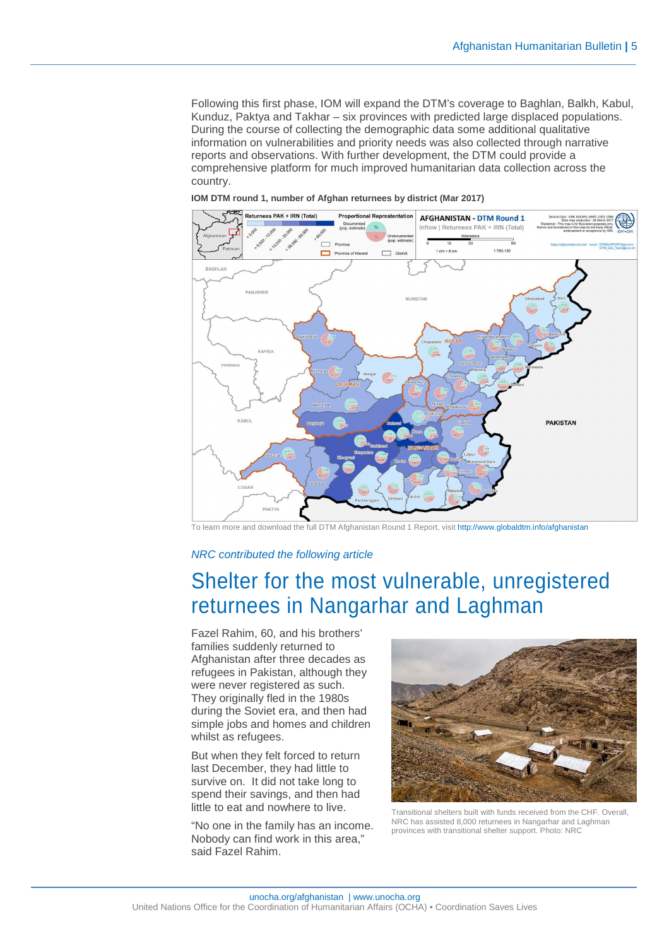Following this first phase, IOM will expand the DTM's coverage to Baghlan, Balkh, Kabul, Kunduz, Paktya and Takhar – six provinces with predicted large displaced populations. During the course of collecting the demographic data some additional qualitative information on vulnerabilities and priority needs was also collected through narrative reports and observations. With further development, the DTM could provide a comprehensive platform for much improved humanitarian data collection across the country.





To learn more and download the full DTM Afghanistan Round 1 Report, visit http://www.globaldtm.info/afghanistan

#### NRC contributed the following article

### Shelter for the most vulnerable, unregistered returnees in Nangarhar and Laghman

Fazel Rahim, 60, and his brothers' families suddenly returned to Afghanistan after three decades as refugees in Pakistan, although they were never registered as such. They originally fled in the 1980s during the Soviet era, and then had simple jobs and homes and children whilst as refugees.

But when they felt forced to return last December, they had little to survive on. It did not take long to spend their savings, and then had little to eat and nowhere to live.

"No one in the family has an income. Nobody can find work in this area," said Fazel Rahim.



Transitional shelters built with funds received from the CHF. Overall, NRC has assisted 8,000 returnees in Nangarhar and Laghman provinces with transitional shelter support. Photo: NRC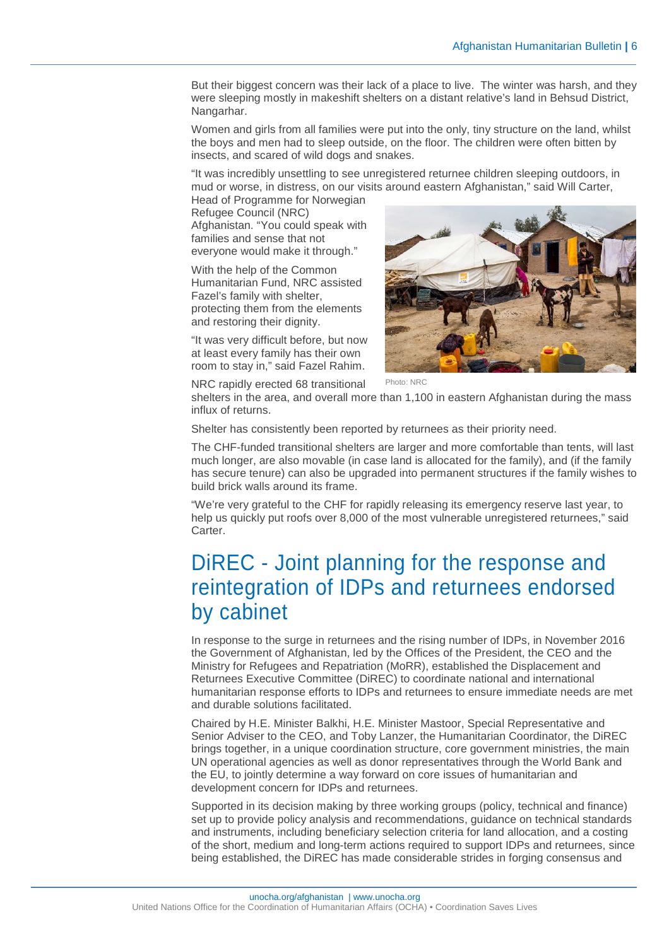But their biggest concern was their lack of a place to live. The winter was harsh, and they were sleeping mostly in makeshift shelters on a distant relative's land in Behsud District, Nangarhar.

Women and girls from all families were put into the only, tiny structure on the land, whilst the boys and men had to sleep outside, on the floor. The children were often bitten by insects, and scared of wild dogs and snakes.

"It was incredibly unsettling to see unregistered returnee children sleeping outdoors, in mud or worse, in distress, on our visits around eastern Afghanistan," said Will Carter,

Head of Programme for Norwegian Refugee Council (NRC) Afghanistan. "You could speak with families and sense that not everyone would make it through."

With the help of the Common Humanitarian Fund, NRC assisted Fazel's family with shelter, protecting them from the elements and restoring their dignity.

"It was very difficult before, but now at least every family has their own room to stay in," said Fazel Rahim.

NRC rapidly erected 68 transitional



Photo: NRC

shelters in the area, and overall more than 1,100 in eastern Afghanistan during the mass influx of returns.

Shelter has consistently been reported by returnees as their priority need.

The CHF-funded transitional shelters are larger and more comfortable than tents, will last much longer, are also movable (in case land is allocated for the family), and (if the family has secure tenure) can also be upgraded into permanent structures if the family wishes to build brick walls around its frame.

"We're very grateful to the CHF for rapidly releasing its emergency reserve last year, to help us quickly put roofs over 8,000 of the most vulnerable unregistered returnees," said Carter.

## DiREC - Joint planning for the response and reintegration of IDPs and returnees endorsed by cabinet

In response to the surge in returnees and the rising number of IDPs, in November 2016 the Government of Afghanistan, led by the Offices of the President, the CEO and the Ministry for Refugees and Repatriation (MoRR), established the Displacement and Returnees Executive Committee (DiREC) to coordinate national and international humanitarian response efforts to IDPs and returnees to ensure immediate needs are met and durable solutions facilitated.

Chaired by H.E. Minister Balkhi, H.E. Minister Mastoor, Special Representative and Senior Adviser to the CEO, and Toby Lanzer, the Humanitarian Coordinator, the DiREC brings together, in a unique coordination structure, core government ministries, the main UN operational agencies as well as donor representatives through the World Bank and the EU, to jointly determine a way forward on core issues of humanitarian and development concern for IDPs and returnees.

Supported in its decision making by three working groups (policy, technical and finance) set up to provide policy analysis and recommendations, guidance on technical standards and instruments, including beneficiary selection criteria for land allocation, and a costing of the short, medium and long-term actions required to support IDPs and returnees, since being established, the DiREC has made considerable strides in forging consensus and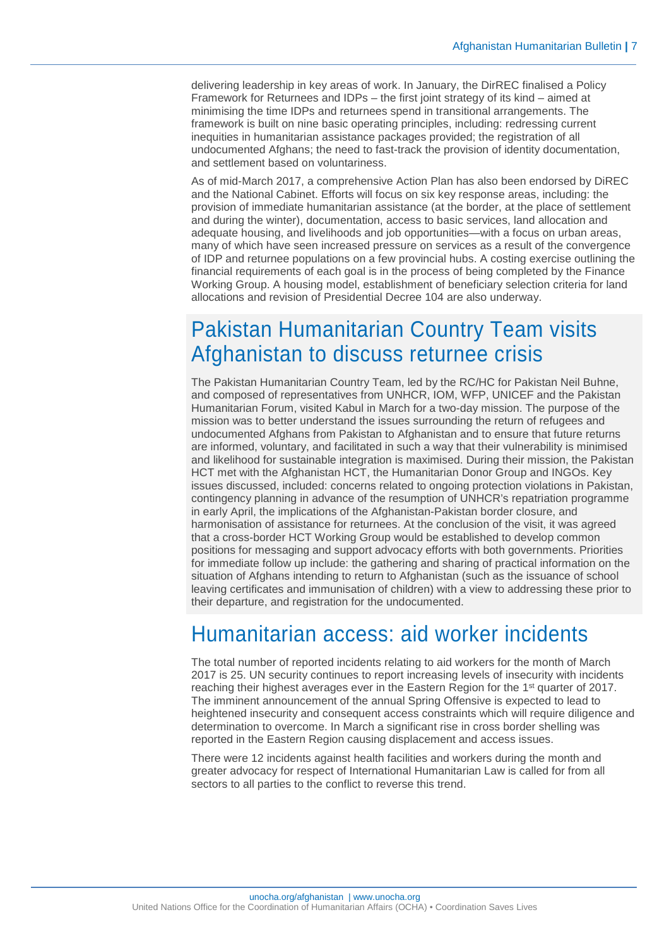delivering leadership in key areas of work. In January, the DirREC finalised a Policy Framework for Returnees and IDPs – the first joint strategy of its kind – aimed at minimising the time IDPs and returnees spend in transitional arrangements. The framework is built on nine basic operating principles, including: redressing current inequities in humanitarian assistance packages provided; the registration of all undocumented Afghans; the need to fast-track the provision of identity documentation, and settlement based on voluntariness.

As of mid-March 2017, a comprehensive Action Plan has also been endorsed by DiREC and the National Cabinet. Efforts will focus on six key response areas, including: the provision of immediate humanitarian assistance (at the border, at the place of settlement and during the winter), documentation, access to basic services, land allocation and adequate housing, and livelihoods and job opportunities—with a focus on urban areas, many of which have seen increased pressure on services as a result of the convergence of IDP and returnee populations on a few provincial hubs. A costing exercise outlining the financial requirements of each goal is in the process of being completed by the Finance Working Group. A housing model, establishment of beneficiary selection criteria for land allocations and revision of Presidential Decree 104 are also underway.

### Pakistan Humanitarian Country Team visits Afghanistan to discuss returnee crisis

The Pakistan Humanitarian Country Team, led by the RC/HC for Pakistan Neil Buhne, and composed of representatives from UNHCR, IOM, WFP, UNICEF and the Pakistan Humanitarian Forum, visited Kabul in March for a two-day mission. The purpose of the mission was to better understand the issues surrounding the return of refugees and undocumented Afghans from Pakistan to Afghanistan and to ensure that future returns are informed, voluntary, and facilitated in such a way that their vulnerability is minimised and likelihood for sustainable integration is maximised. During their mission, the Pakistan HCT met with the Afghanistan HCT, the Humanitarian Donor Group and INGOs. Key issues discussed, included: concerns related to ongoing protection violations in Pakistan, contingency planning in advance of the resumption of UNHCR's repatriation programme in early April, the implications of the Afghanistan-Pakistan border closure, and harmonisation of assistance for returnees. At the conclusion of the visit, it was agreed that a cross-border HCT Working Group would be established to develop common positions for messaging and support advocacy efforts with both governments. Priorities for immediate follow up include: the gathering and sharing of practical information on the situation of Afghans intending to return to Afghanistan (such as the issuance of school leaving certificates and immunisation of children) with a view to addressing these prior to their departure, and registration for the undocumented.

# Humanitarian access: aid worker incidents

The total number of reported incidents relating to aid workers for the month of March 2017 is 25. UN security continues to report increasing levels of insecurity with incidents reaching their highest averages ever in the Eastern Region for the 1<sup>st</sup> quarter of 2017. The imminent announcement of the annual Spring Offensive is expected to lead to heightened insecurity and consequent access constraints which will require diligence and determination to overcome. In March a significant rise in cross border shelling was reported in the Eastern Region causing displacement and access issues.

There were 12 incidents against health facilities and workers during the month and greater advocacy for respect of International Humanitarian Law is called for from all sectors to all parties to the conflict to reverse this trend.